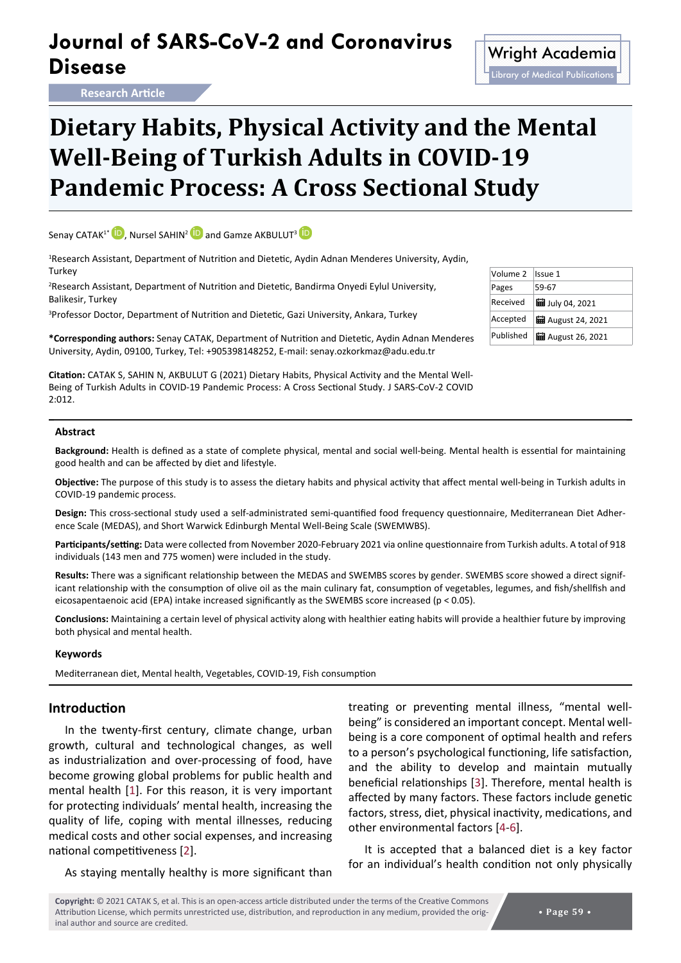## **Journal of SARS-CoV-2 and Coronavirus Disease** Minimal Color Construction of Multiple Multiple Color Color Color Disease

**Research Article**

# **Dietary Habits, Physical Activity and the Mental Well-Being of Turkish Adults in COVID-19**

**Pandemic Process: A Cross Sectional Study**

Senay CATAK<sup>1\*</sup> **[iD](https://orcid.org/0000-0003-0197-1573)**, Nursel SAHIN<sup>2</sup> **iD** and Gamze AKBULUT<sup>3</sup> **iD** 

1 Research Assistant, Department of Nutrition and Dietetic, Aydin Adnan Menderes University, Aydin, **Turkey** 

2 Research Assistant, Department of Nutrition and Dietetic, Bandirma Onyedi Eylul University, Balikesir, Turkey

3 Professor Doctor, Department of Nutrition and Dietetic, Gazi University, Ankara, Turkey

**\*Corresponding authors:** Senay CATAK, Department of Nutrition and Dietetic, Aydin Adnan Menderes University, Aydin, 09100, Turkey, Tel: +905398148252, E-mail: senay.ozkorkmaz@adu.edu.tr

**Citation:** CATAK S, SAHIN N, AKBULUT G (2021) Dietary Habits, Physical Activity and the Mental Well-Being of Turkish Adults in COVID-19 Pandemic Process: A Cross Sectional Study. J SARS-CoV-2 COVID 2:012.

#### **Abstract**

**Background:** Health is defined as a state of complete physical, mental and social well-being. Mental health is essential for maintaining good health and can be affected by diet and lifestyle.

**Objective:** The purpose of this study is to assess the dietary habits and physical activity that affect mental well-being in Turkish adults in COVID-19 pandemic process.

**Design:** This cross-sectional study used a self-administrated semi-quantified food frequency questionnaire, Mediterranean Diet Adherence Scale (MEDAS), and Short Warwick Edinburgh Mental Well-Being Scale (SWEMWBS).

**Participants/setting:** Data were collected from November 2020-February 2021 via online questionnaire from Turkish adults. A total of 918 individuals (143 men and 775 women) were included in the study.

**Results:** There was a significant relationship between the MEDAS and SWEMBS scores by gender. SWEMBS score showed a direct significant relationship with the consumption of olive oil as the main culinary fat, consumption of vegetables, legumes, and fish/shellfish and eicosapentaenoic acid (EPA) intake increased significantly as the SWEMBS score increased (p < 0.05).

**Conclusions:** Maintaining a certain level of physical activity along with healthier eating habits will provide a healthier future by improving both physical and mental health.

#### **Keywords**

Mediterranean diet, Mental health, Vegetables, COVID-19, Fish consumption

#### **Introduction**

In the twenty-first century, climate change, urban growth, cultural and technological changes, as well as industrialization and over-processing of food, have become growing global problems for public health and mental health [[1](#page-7-3)]. For this reason, it is very important for protecting individuals' mental health, increasing the quality of life, coping with mental illnesses, reducing medical costs and other social expenses, and increasing national competitiveness [[2](#page-7-4)].

As staying mentally healthy is more significant than

treating or preventing mental illness, "mental wellbeing" is considered an important concept. Mental wellbeing is a core component of optimal health and refers to a person's psychological functioning, life satisfaction, and the ability to develop and maintain mutually beneficial relationships [[3](#page-7-0)]. Therefore, mental health is affected by many factors. These factors include genetic factors, stress, diet, physical inactivity, medications, and other environmental factors [[4](#page-7-1)-[6](#page-7-2)].

It is accepted that a balanced diet is a key factor for an individual's health condition not only physically

**Copyright:** © 2021 CATAK S, et al. This is an open-access article distributed under the terms of the Creative Commons Attribution License, which permits unrestricted use, distribution, and reproduction in any medium, provided the original author and source are credited.

#### Volume 2 Issue 1 Pages 59-67 Received  $\frac{1}{2}$  July 04, 2021 Accepted  $\begin{vmatrix} \frac{1}{2} \\ 0 \end{vmatrix}$  August 24, 2021 Published  $\frac{1}{2}$  August 26, 2021

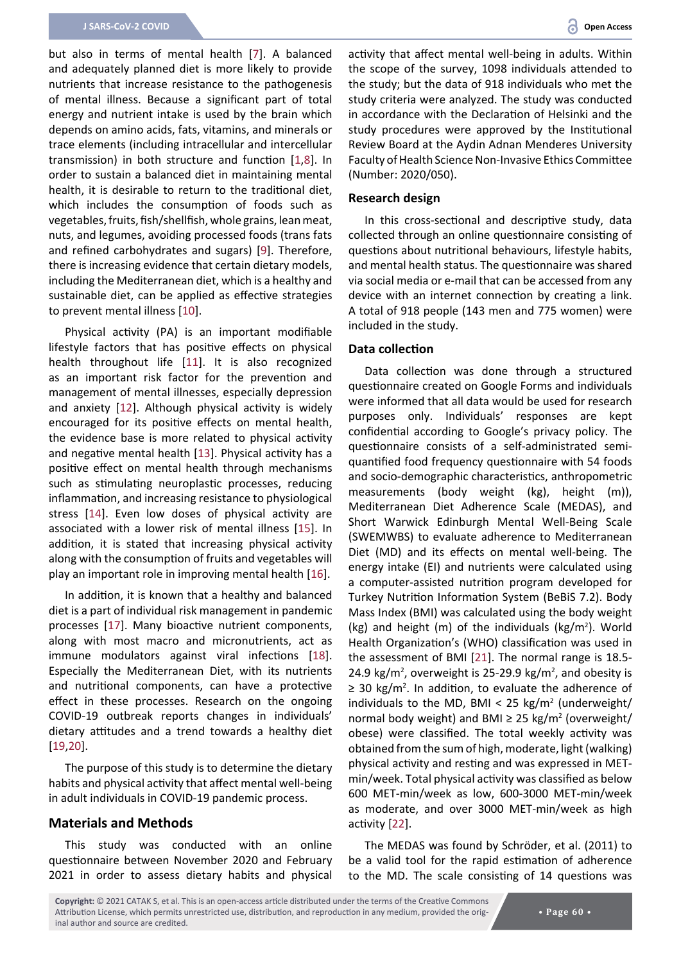but also in terms of mental health [[7](#page-7-7)]. A balanced and adequately planned diet is more likely to provide nutrients that increase resistance to the pathogenesis of mental illness. Because a significant part of total energy and nutrient intake is used by the brain which depends on amino acids, fats, vitamins, and minerals or trace elements (including intracellular and intercellular transmission) in both structure and function [[1](#page-7-3),[8](#page-7-8)]. In order to sustain a balanced diet in maintaining mental health, it is desirable to return to the traditional diet, which includes the consumption of foods such as vegetables, fruits, fish/shellfish, whole grains, lean meat, nuts, and legumes, avoiding processed foods (trans fats and refined carbohydrates and sugars) [[9](#page-7-9)]. Therefore, there is increasing evidence that certain dietary models, including the Mediterranean diet, which is a healthy and sustainable diet, can be applied as effective strategies to prevent mental illness [[10](#page-7-10)].

Physical activity (PA) is an important modifiable lifestyle factors that has positive effects on physical health throughout life [[11](#page-7-11)]. It is also recognized as an important risk factor for the prevention and management of mental illnesses, especially depression and anxiety [[12](#page-7-12)]. Although physical activity is widely encouraged for its positive effects on mental health, the evidence base is more related to physical activity and negative mental health [[13](#page-7-13)]. Physical activity has a positive effect on mental health through mechanisms such as stimulating neuroplastic processes, reducing inflammation, and increasing resistance to physiological stress [[14\]](#page-7-14). Even low doses of physical activity are associated with a lower risk of mental illness [[15\]](#page-7-15). In addition, it is stated that increasing physical activity along with the consumption of fruits and vegetables will play an important role in improving mental health [[16\]](#page-7-16).

In addition, it is known that a healthy and balanced diet is a part of individual risk management in pandemic processes [[17](#page-7-17)]. Many bioactive nutrient components, along with most macro and micronutrients, act as immune modulators against viral infections [\[18](#page-7-18)]. Especially the Mediterranean Diet, with its nutrients and nutritional components, can have a protective effect in these processes. Research on the ongoing COVID-19 outbreak reports changes in individuals' dietary attitudes and a trend towards a healthy diet [[19](#page-7-19),[20\]](#page-7-20).

The purpose of this study is to determine the dietary habits and physical activity that affect mental well-being in adult individuals in COVID-19 pandemic process.

#### **Materials and Methods**

This study was conducted with an online questionnaire between November 2020 and February 2021 in order to assess dietary habits and physical activity that affect mental well-being in adults. Within the scope of the survey, 1098 individuals attended to the study; but the data of 918 individuals who met the study criteria were analyzed. The study was conducted in accordance with the Declaration of Helsinki and the study procedures were approved by the Institutional Review Board at the Aydin Adnan Menderes University Faculty of Health Science Non-Invasive Ethics Committee (Number: 2020/050).

#### **Research design**

In this cross-sectional and descriptive study, data collected through an online questionnaire consisting of questions about nutritional behaviours, lifestyle habits, and mental health status. The questionnaire was shared via social media or e-mail that can be accessed from any device with an internet connection by creating a link. A total of 918 people (143 men and 775 women) were included in the study.

#### **Data collection**

Data collection was done through a structured questionnaire created on Google Forms and individuals were informed that all data would be used for research purposes only. Individuals' responses are kept confidential according to Google's privacy policy. The questionnaire consists of a self-administrated semiquantified food frequency questionnaire with 54 foods and socio-demographic characteristics, anthropometric measurements (body weight (kg), height (m)), Mediterranean Diet Adherence Scale (MEDAS), and Short Warwick Edinburgh Mental Well-Being Scale (SWEMWBS) to evaluate adherence to Mediterranean Diet (MD) and its effects on mental well-being. The energy intake (EI) and nutrients were calculated using a computer-assisted nutrition program developed for Turkey Nutrition Information System (BeBiS 7.2). Body Mass Index (BMI) was calculated using the body weight (kg) and height (m) of the individuals (kg/m<sup>2</sup> ). World Health Organization's (WHO) classification was used in the assessment of BMI [[21](#page-7-5)]. The normal range is 18.5- 24.9 kg/m<sup>2</sup>, overweight is 25-29.9 kg/m<sup>2</sup>, and obesity is ≥ 30 kg/m<sup>2</sup>. In addition, to evaluate the adherence of individuals to the MD, BMI < 25  $kg/m^2$  (underweight/ normal body weight) and BMI  $\geq$  25 kg/m<sup>2</sup> (overweight/ obese) were classified. The total weekly activity was obtained from the sum of high, moderate, light (walking) physical activity and resting and was expressed in METmin/week. Total physical activity was classified as below 600 MET-min/week as low, 600-3000 MET-min/week as moderate, and over 3000 MET-min/week as high activity [[22\]](#page-7-6).

The MEDAS was found by Schröder, et al. (2011) to be a valid tool for the rapid estimation of adherence to the MD. The scale consisting of 14 questions was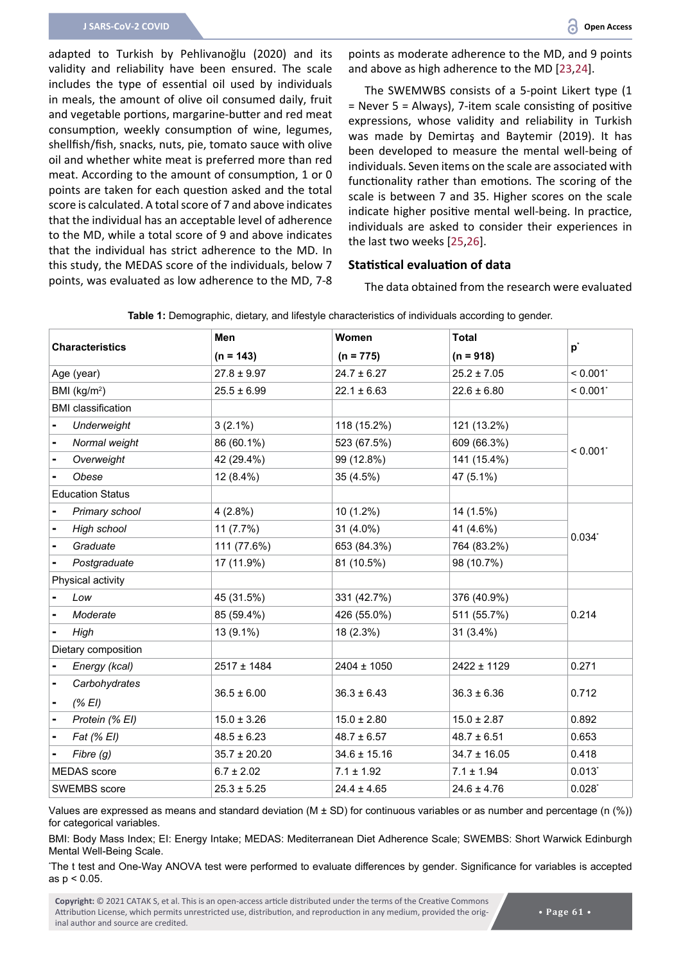adapted to Turkish by Pehlivanoğlu (2020) and its validity and reliability have been ensured. The scale includes the type of essential oil used by individuals in meals, the amount of olive oil consumed daily, fruit and vegetable portions, margarine-butter and red meat consumption, weekly consumption of wine, legumes, shellfish/fish, snacks, nuts, pie, tomato sauce with olive oil and whether white meat is preferred more than red meat. According to the amount of consumption, 1 or 0 points are taken for each question asked and the total score is calculated. A total score of 7 and above indicates that the individual has an acceptable level of adherence to the MD, while a total score of 9 and above indicates that the individual has strict adherence to the MD. In this study, the MEDAS score of the individuals, below 7 points, was evaluated as low adherence to the MD, 7-8

points as moderate adherence to the MD, and 9 points and above as high adherence to the MD [[23](#page-7-21),[24](#page-7-22)].

The SWEMWBS consists of a 5-point Likert type (1 = Never 5 = Always), 7-item scale consisting of positive expressions, whose validity and reliability in Turkish was made by Demirtaş and Baytemir (2019). It has been developed to measure the mental well-being of individuals. Seven items on the scale are associated with functionality rather than emotions. The scoring of the scale is between 7 and 35. Higher scores on the scale indicate higher positive mental well-being. In practice, individuals are asked to consider their experiences in the last two weeks [[25](#page-7-23)[,26](#page-7-24)].

#### **Statistical evaluation of data**

The data obtained from the research were evaluated

| <b>Characteristics</b> |                           | Men              | Women            | <b>Total</b>     |                        |
|------------------------|---------------------------|------------------|------------------|------------------|------------------------|
|                        |                           | $(n = 143)$      | $(n = 775)$      | $(n = 918)$      | $p^*$                  |
| Age (year)             |                           | $27.8 \pm 9.97$  | $24.7 \pm 6.27$  | $25.2 \pm 7.05$  | $< 0.001$ <sup>*</sup> |
|                        | BMI (kg/m <sup>2</sup> )  | $25.5 \pm 6.99$  | $22.1 \pm 6.63$  | $22.6 \pm 6.80$  | $< 0.001$ <sup>*</sup> |
|                        | <b>BMI</b> classification |                  |                  |                  |                        |
|                        | Underweight               | $3(2.1\%)$       | 118 (15.2%)      | 121 (13.2%)      |                        |
| $\blacksquare$         | Normal weight             | 86 (60.1%)       | 523 (67.5%)      | 609 (66.3%)      |                        |
| -                      | Overweight                | 42 (29.4%)       | 99 (12.8%)       | 141 (15.4%)      | $< 0.001$ *            |
|                        | Obese                     | 12 (8.4%)        | 35 (4.5%)        | 47 (5.1%)        |                        |
|                        | <b>Education Status</b>   |                  |                  |                  |                        |
|                        | Primary school            | 4(2.8%)          | $10(1.2\%)$      | 14 (1.5%)        |                        |
| $\blacksquare$         | High school               | 11 (7.7%)        | 31 (4.0%)        | 41 (4.6%)        |                        |
|                        | Graduate                  | 111 (77.6%)      | 653 (84.3%)      | 764 (83.2%)      | $0.034^{*}$            |
|                        | Postgraduate              | 17 (11.9%)       | 81 (10.5%)       | 98 (10.7%)       |                        |
|                        | Physical activity         |                  |                  |                  |                        |
|                        | Low                       | 45 (31.5%)       | 331 (42.7%)      | 376 (40.9%)      |                        |
|                        | Moderate                  | 85 (59.4%)       | 426 (55.0%)      | 511 (55.7%)      | 0.214                  |
|                        | High                      | 13 (9.1%)        | 18 (2.3%)        | 31 (3.4%)        |                        |
|                        | Dietary composition       |                  |                  |                  |                        |
|                        | Energy (kcal)             | 2517 ± 1484      | $2404 \pm 1050$  | 2422 ± 1129      | 0.271                  |
|                        | Carbohydrates             |                  |                  |                  |                        |
|                        | (% EI)                    | $36.5 \pm 6.00$  | $36.3 \pm 6.43$  | $36.3 \pm 6.36$  | 0.712                  |
|                        | Protein (% EI)            | $15.0 \pm 3.26$  | $15.0 \pm 2.80$  | $15.0 \pm 2.87$  | 0.892                  |
| $\blacksquare$         | Fat (% EI)                | $48.5 \pm 6.23$  | $48.7 \pm 6.57$  | $48.7 \pm 6.51$  | 0.653                  |
|                        | Fibre (g)                 | $35.7 \pm 20.20$ | $34.6 \pm 15.16$ | $34.7 \pm 16.05$ | 0.418                  |
|                        | <b>MEDAS</b> score        | $6.7 \pm 2.02$   | $7.1 \pm 1.92$   | $7.1 \pm 1.94$   | $0.013$ *              |
| <b>SWEMBS</b> score    |                           | $25.3 \pm 5.25$  | $24.4 \pm 4.65$  | $24.6 \pm 4.76$  | $0.028^{*}$            |

<span id="page-2-0"></span>**Table 1:** Demographic, dietary, and lifestyle characteristics of individuals according to gender.

Values are expressed as means and standard deviation (M  $\pm$  SD) for continuous variables or as number and percentage (n (%)) for categorical variables.

BMI: Body Mass Index; EI: Energy Intake; MEDAS: Mediterranean Diet Adherence Scale; SWEMBS: Short Warwick Edinburgh Mental Well-Being Scale.

\* The t test and One-Way ANOVA test were performed to evaluate differences by gender. Significance for variables is accepted as p < 0.05.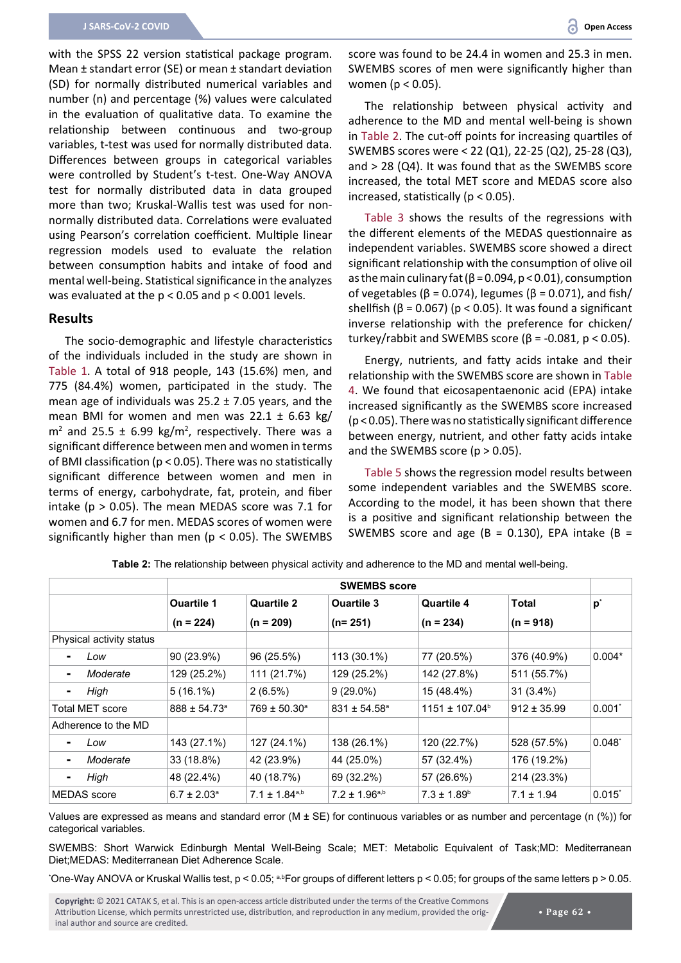with the SPSS 22 version statistical package program. Mean ± standart error (SE) or mean ± standart deviation (SD) for normally distributed numerical variables and number (n) and percentage (%) values were calculated in the evaluation of qualitative data. To examine the relationship between continuous and two-group variables, t-test was used for normally distributed data. Differences between groups in categorical variables were controlled by Student's t-test. One-Way ANOVA test for normally distributed data in data grouped more than two; Kruskal-Wallis test was used for nonnormally distributed data. Correlations were evaluated using Pearson's correlation coefficient. Multiple linear regression models used to evaluate the relation between consumption habits and intake of food and mental well-being. Statistical significance in the analyzes was evaluated at the p < 0.05 and p < 0.001 levels.

#### **Results**

The socio-demographic and lifestyle characteristics of the individuals included in the study are shown in [Table 1](#page-2-0). A total of 918 people, 143 (15.6%) men, and 775 (84.4%) women, participated in the study. The mean age of individuals was  $25.2 \pm 7.05$  years, and the mean BMI for women and men was  $22.1 \pm 6.63$  kg/  $m<sup>2</sup>$  and 25.5  $\pm$  6.99 kg/m<sup>2</sup>, respectively. There was a significant difference between men and women in terms of BMI classification (p < 0.05). There was no statistically significant difference between women and men in terms of energy, carbohydrate, fat, protein, and fiber intake ( $p > 0.05$ ). The mean MEDAS score was 7.1 for women and 6.7 for men. MEDAS scores of women were significantly higher than men ( $p < 0.05$ ). The SWEMBS

score was found to be 24.4 in women and 25.3 in men. SWEMBS scores of men were significantly higher than women (p < 0.05).

The relationship between physical activity and adherence to the MD and mental well-being is shown in [Table 2.](#page-3-0) The cut-off points for increasing quartiles of SWEMBS scores were < 22 (Q1), 22-25 (Q2), 25-28 (Q3), and > 28 (Q4). It was found that as the SWEMBS score increased, the total MET score and MEDAS score also increased, statistically ( $p < 0.05$ ).

[Table 3](#page-4-0) shows the results of the regressions with the different elements of the MEDAS questionnaire as independent variables. SWEMBS score showed a direct significant relationship with the consumption of olive oil as the main culinary fat ( $\beta$  = 0.094, p < 0.01), consumption of vegetables ( $β = 0.074$ ), legumes ( $β = 0.071$ ), and fish/ shellfish ( $\beta$  = 0.067) ( $p$  < 0.05). It was found a significant inverse relationship with the preference for chicken/ turkey/rabbit and SWEMBS score (β = -0.081, p < 0.05).

Energy, nutrients, and fatty acids intake and their relationship with the SWEMBS score are shown in [Table](#page-4-1)  [4](#page-4-1). We found that eicosapentaenonic acid (EPA) intake increased significantly as the SWEMBS score increased (p < 0.05). There was no statistically significant difference between energy, nutrient, and other fatty acids intake and the SWEMBS score  $(p > 0.05)$ .

[Table 5](#page-5-0) shows the regression model results between some independent variables and the SWEMBS score. According to the model, it has been shown that there is a positive and significant relationship between the SWEMBS score and age (B = 0.130), EPA intake (B =

|                                                 | <b>SWEMBS</b> score |                         |                         |                           |                 |                      |
|-------------------------------------------------|---------------------|-------------------------|-------------------------|---------------------------|-----------------|----------------------|
|                                                 | <b>Ouartile 1</b>   | <b>Quartile 2</b>       | <b>Ouartile 3</b>       | Quartile 4                | <b>Total</b>    | $p^*$                |
|                                                 | $(n = 224)$         | $(n = 209)$             | $(n=251)$               | $(n = 234)$               | $(n = 918)$     |                      |
| Physical activity status                        |                     |                         |                         |                           |                 |                      |
| Low<br>$\blacksquare$                           | 90 (23.9%)          | 96 (25.5%)              | 113 (30.1%)             | 77 (20.5%)                | 376 (40.9%)     | $0.004*$             |
| Moderate<br>$\blacksquare$                      | 129 (25.2%)         | 111 (21.7%)             | 129 (25.2%)             | 142 (27.8%)               | 511 (55.7%)     |                      |
| High<br>$\blacksquare$                          | $5(16.1\%)$         | $2(6.5\%)$              | $9(29.0\%)$             | 15 (48.4%)                | $31(3.4\%)$     |                      |
| Total MET score<br>$888 \pm 54.73$ <sup>a</sup> |                     | $769 \pm 50.30^{\circ}$ | $831 \pm 54.58^{\circ}$ | $1151 \pm 107.04^{\circ}$ | $912 \pm 35.99$ | $0.001^*$            |
| Adherence to the MD                             |                     |                         |                         |                           |                 |                      |
| Low                                             | 143 (27.1%)         | 127 (24.1%)             | 138 (26.1%)             | 120 (22.7%)               | 528 (57.5%)     | $0.048^{*}$          |
| Moderate<br>$\blacksquare$                      | 33 (18.8%)          | 42 (23.9%)              | 44 (25.0%)              | 57 (32.4%)                | 176 (19.2%)     |                      |
| High<br>$\blacksquare$                          | 48 (22.4%)          | 40 (18.7%)              | 69 (32.2%)              | 57 (26.6%)                | 214 (23.3%)     |                      |
| $6.7 \pm 2.03^{\circ}$<br><b>MEDAS</b> score    |                     | $7.1 \pm 1.84^{a,b}$    | $7.2 \pm 1.96^{a,b}$    | $7.3 \pm 1.89^{\circ}$    | $7.1 \pm 1.94$  | $0.015$ <sup>*</sup> |

<span id="page-3-0"></span>**Table 2:** The relationship between physical activity and adherence to the MD and mental well-being.

Values are expressed as means and standard error ( $M \pm SE$ ) for continuous variables or as number and percentage (n (%)) for categorical variables.

SWEMBS: Short Warwick Edinburgh Mental Well-Being Scale; MET: Metabolic Equivalent of Task;MD: Mediterranean Diet;MEDAS: Mediterranean Diet Adherence Scale.

 $^{\circ}$ One-Way ANOVA or Kruskal Wallis test, p < 0.05; <sup>a,b</sup>For groups of different letters p < 0.05; for groups of the same letters p > 0.05.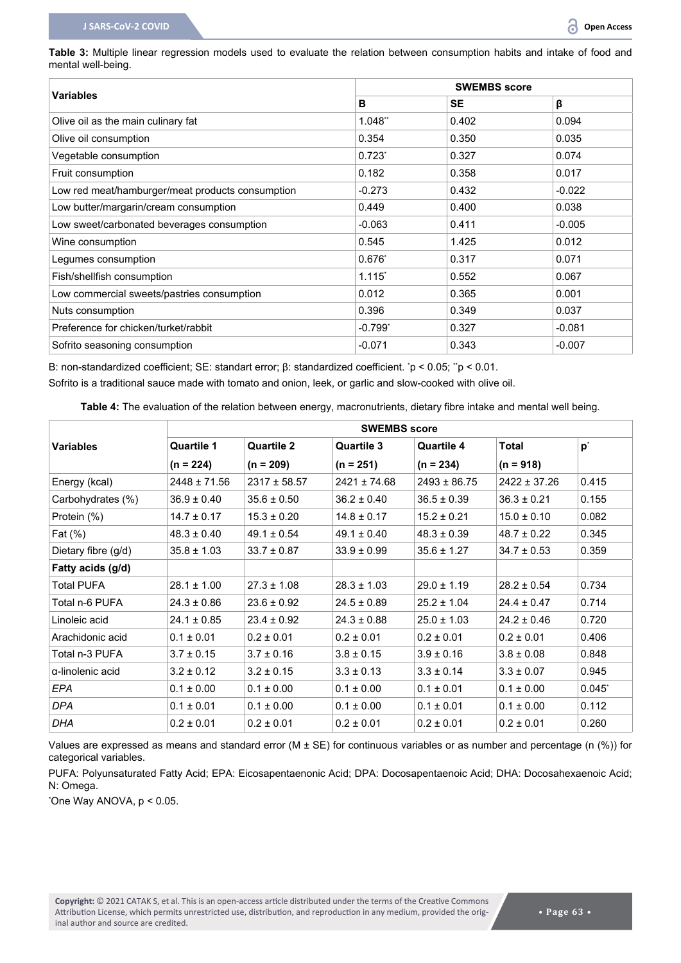<span id="page-4-0"></span>**Table 3:** Multiple linear regression models used to evaluate the relation between consumption habits and intake of food and mental well-being.

|                                                  | <b>SWEMBS</b> score  |           |          |  |
|--------------------------------------------------|----------------------|-----------|----------|--|
| <b>Variables</b>                                 | в                    | <b>SE</b> | β        |  |
| Olive oil as the main culinary fat               | 1.048"               | 0.402     | 0.094    |  |
| Olive oil consumption                            | 0.354                | 0.350     | 0.035    |  |
| Vegetable consumption                            | $0.723^{*}$          | 0.327     | 0.074    |  |
| Fruit consumption                                | 0.182                | 0.358     | 0.017    |  |
| Low red meat/hamburger/meat products consumption | $-0.273$             | 0.432     | $-0.022$ |  |
| Low butter/margarin/cream consumption            | 0.449                | 0.400     | 0.038    |  |
| Low sweet/carbonated beverages consumption       | $-0.063$             | 0.411     | $-0.005$ |  |
| Wine consumption                                 | 0.545                | 1.425     | 0.012    |  |
| Legumes consumption                              | $0.676^{*}$          | 0.317     | 0.071    |  |
| Fish/shellfish consumption                       | $1.115$ <sup>*</sup> | 0.552     | 0.067    |  |
| Low commercial sweets/pastries consumption       | 0.012                | 0.365     | 0.001    |  |
| Nuts consumption                                 | 0.396                | 0.349     | 0.037    |  |
| Preference for chicken/turket/rabbit             | $-0.799'$            | 0.327     | $-0.081$ |  |
| Sofrito seasoning consumption                    | $-0.071$             | 0.343     | $-0.007$ |  |

B: non-standardized coefficient; SE: standart error; β: standardized coefficient. \* p < 0.05; \*\*p < 0.01.

Sofrito is a traditional sauce made with tomato and onion, leek, or garlic and slow-cooked with olive oil.

<span id="page-4-1"></span>**Table 4:** The evaluation of the relation between energy, macronutrients, dietary fibre intake and mental well being.

|                          | <b>SWEMBS</b> score |                   |                   |                   |                  |                |  |  |
|--------------------------|---------------------|-------------------|-------------------|-------------------|------------------|----------------|--|--|
| <b>Variables</b>         | <b>Quartile 1</b>   | <b>Quartile 2</b> | <b>Quartile 3</b> | <b>Quartile 4</b> | <b>Total</b>     | $\mathbf{p}^*$ |  |  |
|                          | $(n = 224)$         | $(n = 209)$       | $(n = 251)$       | $(n = 234)$       | $(n = 918)$      |                |  |  |
| Energy (kcal)            | $2448 \pm 71.56$    | $2317 \pm 58.57$  | $2421 \pm 74.68$  | $2493 \pm 86.75$  | $2422 \pm 37.26$ | 0.415          |  |  |
| Carbohydrates (%)        | $36.9 \pm 0.40$     | $35.6 \pm 0.50$   | $36.2 \pm 0.40$   | $36.5 \pm 0.39$   | $36.3 \pm 0.21$  | 0.155          |  |  |
| Protein (%)              | $14.7 \pm 0.17$     | $15.3 \pm 0.20$   | $14.8 \pm 0.17$   | $15.2 \pm 0.21$   | $15.0 \pm 0.10$  | 0.082          |  |  |
| Fat $(\%)$               | $48.3 \pm 0.40$     | $49.1 \pm 0.54$   | $49.1 \pm 0.40$   | $48.3 \pm 0.39$   | $48.7 \pm 0.22$  | 0.345          |  |  |
| Dietary fibre (g/d)      | $35.8 \pm 1.03$     | $33.7 \pm 0.87$   | $33.9 \pm 0.99$   | $35.6 \pm 1.27$   | $34.7 \pm 0.53$  | 0.359          |  |  |
| Fatty acids (g/d)        |                     |                   |                   |                   |                  |                |  |  |
| Total PUFA               | $28.1 \pm 1.00$     | $27.3 \pm 1.08$   | $28.3 \pm 1.03$   | $29.0 \pm 1.19$   | $28.2 \pm 0.54$  | 0.734          |  |  |
| Total n-6 PUFA           | $24.3 \pm 0.86$     | $23.6 \pm 0.92$   | $24.5 \pm 0.89$   | $25.2 \pm 1.04$   | $24.4 \pm 0.47$  | 0.714          |  |  |
| Linoleic acid            | $24.1 \pm 0.85$     | $23.4 \pm 0.92$   | $24.3 \pm 0.88$   | $25.0 \pm 1.03$   | $24.2 \pm 0.46$  | 0.720          |  |  |
| Arachidonic acid         | $0.1 \pm 0.01$      | $0.2 \pm 0.01$    | $0.2 \pm 0.01$    | $0.2 \pm 0.01$    | $0.2 \pm 0.01$   | 0.406          |  |  |
| Total n-3 PUFA           | $3.7 \pm 0.15$      | $3.7 \pm 0.16$    | $3.8 \pm 0.15$    | $3.9 \pm 0.16$    | $3.8 \pm 0.08$   | 0.848          |  |  |
| $\alpha$ -linolenic acid | $3.2 \pm 0.12$      | $3.2 \pm 0.15$    | $3.3 \pm 0.13$    | $3.3 \pm 0.14$    | $3.3 \pm 0.07$   | 0.945          |  |  |
| EPA                      | $0.1 \pm 0.00$      | $0.1 \pm 0.00$    | $0.1 \pm 0.00$    | $0.1 \pm 0.01$    | $0.1 \pm 0.00$   | 0.045          |  |  |
| <b>DPA</b>               | $0.1 \pm 0.01$      | $0.1 \pm 0.00$    | $0.1 \pm 0.00$    | $0.1 \pm 0.01$    | $0.1 \pm 0.00$   | 0.112          |  |  |
| <b>DHA</b>               | $0.2 \pm 0.01$      | $0.2 \pm 0.01$    | $0.2 \pm 0.01$    | $0.2 \pm 0.01$    | $0.2 \pm 0.01$   | 0.260          |  |  |

Values are expressed as means and standard error ( $M \pm SE$ ) for continuous variables or as number and percentage (n (%)) for categorical variables.

PUFA: Polyunsaturated Fatty Acid; EPA: Eicosapentaenonic Acid; DPA: Docosapentaenoic Acid; DHA: Docosahexaenoic Acid; N: Omega.

\* One Way ANOVA, p < 0.05.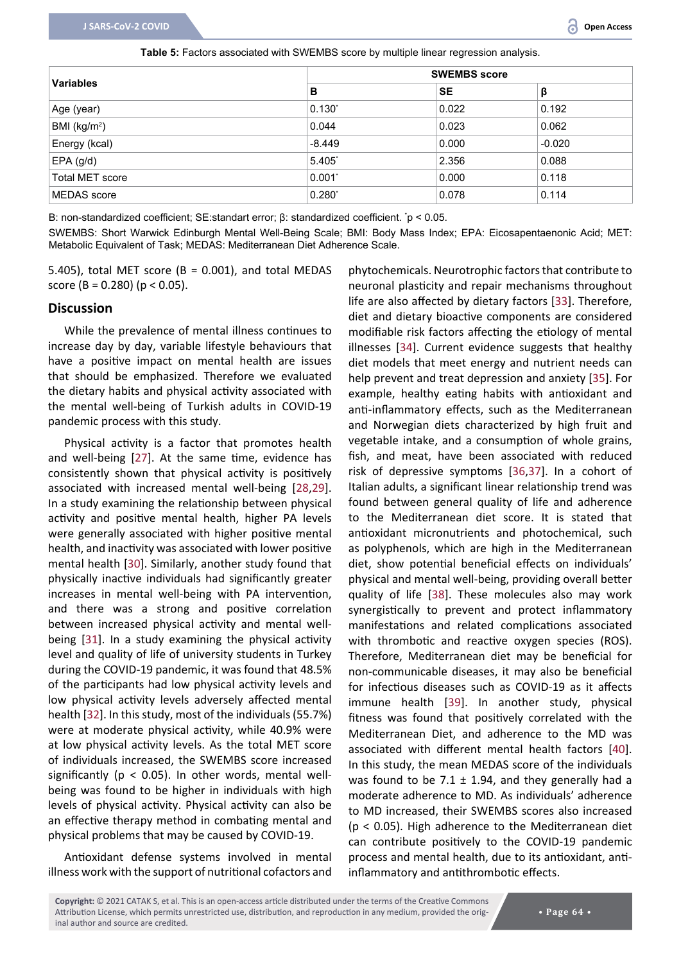<span id="page-5-0"></span>

| Table 5: Factors associated with SWEMBS score by multiple linear regression analysis. |  |  |
|---------------------------------------------------------------------------------------|--|--|
|---------------------------------------------------------------------------------------|--|--|

| <b>Variables</b>       | <b>SWEMBS score</b>  |           |          |  |
|------------------------|----------------------|-----------|----------|--|
|                        | B                    | <b>SE</b> | β        |  |
| Age (year)             | $0.130^{*}$          | 0.022     | 0.192    |  |
| BMI ( $kg/m2$ )        | 0.044                | 0.023     | 0.062    |  |
| Energy (kcal)          | $-8.449$             | 0.000     | $-0.020$ |  |
| $EPA$ (g/d)            | $5.405$ <sup>*</sup> | 2.356     | 0.088    |  |
| <b>Total MET score</b> | $0.001^*$            | 0.000     | 0.118    |  |
| MEDAS score            | $0.280^{*}$          | 0.078     | 0.114    |  |

B: non-standardized coefficient; SE:standart error; β: standardized coefficient. \* p < 0.05.

SWEMBS: Short Warwick Edinburgh Mental Well-Being Scale; BMI: Body Mass Index; EPA: Eicosapentaenonic Acid; MET: Metabolic Equivalent of Task; MEDAS: Mediterranean Diet Adherence Scale.

5.405), total MET score (B =  $0.001$ ), and total MEDAS score (B = 0.280) ( $p < 0.05$ ).

#### **Discussion**

While the prevalence of mental illness continues to increase day by day, variable lifestyle behaviours that have a positive impact on mental health are issues that should be emphasized. Therefore we evaluated the dietary habits and physical activity associated with the mental well-being of Turkish adults in COVID-19 pandemic process with this study.

Physical activity is a factor that promotes health and well-being [[27](#page-7-25)]. At the same time, evidence has consistently shown that physical activity is positively associated with increased mental well-being [[28](#page-7-26),[29\]](#page-7-27). In a study examining the relationship between physical activity and positive mental health, higher PA levels were generally associated with higher positive mental health, and inactivity was associated with lower positive mental health [[30](#page-7-28)]. Similarly, another study found that physically inactive individuals had significantly greater increases in mental well-being with PA intervention, and there was a strong and positive correlation between increased physical activity and mental wellbeing [[31](#page-8-8)]. In a study examining the physical activity level and quality of life of university students in Turkey during the COVID-19 pandemic, it was found that 48.5% of the participants had low physical activity levels and low physical activity levels adversely affected mental health [[32](#page-8-9)]. In this study, most of the individuals (55.7%) were at moderate physical activity, while 40.9% were at low physical activity levels. As the total MET score of individuals increased, the SWEMBS score increased significantly ( $p < 0.05$ ). In other words, mental wellbeing was found to be higher in individuals with high levels of physical activity. Physical activity can also be an effective therapy method in combating mental and physical problems that may be caused by COVID-19.

Antioxidant defense systems involved in mental illness work with the support of nutritional cofactors and

phytochemicals. Neurotrophic factors that contribute to neuronal plasticity and repair mechanisms throughout life are also affected by dietary factors [[33](#page-8-0)]. Therefore, diet and dietary bioactive components are considered modifiable risk factors affecting the etiology of mental illnesses [[34\]](#page-8-1). Current evidence suggests that healthy diet models that meet energy and nutrient needs can help prevent and treat depression and anxiety [[35](#page-8-2)]. For example, healthy eating habits with antioxidant and anti-inflammatory effects, such as the Mediterranean and Norwegian diets characterized by high fruit and vegetable intake, and a consumption of whole grains, fish, and meat, have been associated with reduced risk of depressive symptoms [[36](#page-8-3)[,37](#page-8-4)]. In a cohort of Italian adults, a significant linear relationship trend was found between general quality of life and adherence to the Mediterranean diet score. It is stated that antioxidant micronutrients and photochemical, such as polyphenols, which are high in the Mediterranean diet, show potential beneficial effects on individuals' physical and mental well-being, providing overall better quality of life [[38\]](#page-8-5). These molecules also may work synergistically to prevent and protect inflammatory manifestations and related complications associated with thrombotic and reactive oxygen species (ROS). Therefore, Mediterranean diet may be beneficial for non-communicable diseases, it may also be beneficial for infectious diseases such as COVID-19 as it affects immune health [[39](#page-8-6)]. In another study, physical fitness was found that positively correlated with the Mediterranean Diet, and adherence to the MD was associated with different mental health factors [\[40](#page-8-7)]. In this study, the mean MEDAS score of the individuals was found to be 7.1  $\pm$  1.94, and they generally had a moderate adherence to MD. As individuals' adherence to MD increased, their SWEMBS scores also increased (p < 0.05). High adherence to the Mediterranean diet can contribute positively to the COVID-19 pandemic process and mental health, due to its antioxidant, antiinflammatory and antithrombotic effects.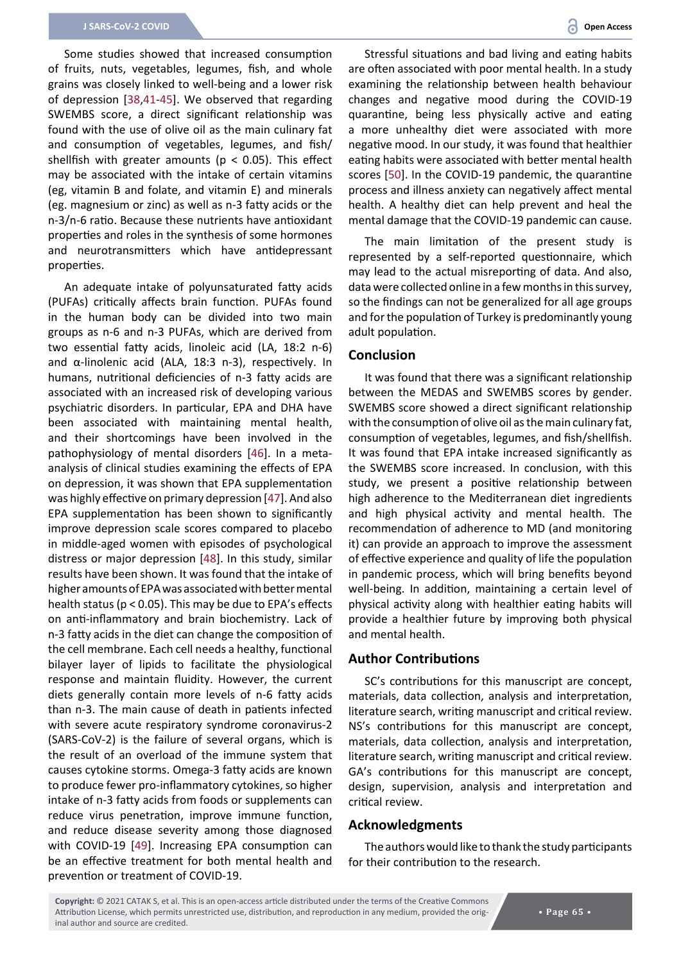Some studies showed that increased consumption of fruits, nuts, vegetables, legumes, fish, and whole grains was closely linked to well-being and a lower risk of depression [\[38](#page-8-5),[41](#page-8-11)-[45\]](#page-8-12). We observed that regarding SWEMBS score, a direct significant relationship was found with the use of olive oil as the main culinary fat and consumption of vegetables, legumes, and fish/ shellfish with greater amounts ( $p < 0.05$ ). This effect may be associated with the intake of certain vitamins (eg, vitamin B and folate, and vitamin E) and minerals (eg. magnesium or zinc) as well as n-3 fatty acids or the n-3/n-6 ratio. Because these nutrients have antioxidant properties and roles in the synthesis of some hormones and neurotransmitters which have antidepressant properties.

An adequate intake of polyunsaturated fatty acids (PUFAs) critically affects brain function. PUFAs found in the human body can be divided into two main groups as n-6 and n-3 PUFAs, which are derived from two essential fatty acids, linoleic acid (LA, 18:2 n-6) and α-linolenic acid (ALA, 18:3 n-3), respectively. In humans, nutritional deficiencies of n-3 fatty acids are associated with an increased risk of developing various psychiatric disorders. In particular, EPA and DHA have been associated with maintaining mental health, and their shortcomings have been involved in the pathophysiology of mental disorders [\[46\]](#page-8-13). In a metaanalysis of clinical studies examining the effects of EPA on depression, it was shown that EPA supplementation was highly effective on primary depression [\[47](#page-8-14)]. And also EPA supplementation has been shown to significantly improve depression scale scores compared to placebo in middle-aged women with episodes of psychological distress or major depression [\[48](#page-8-15)]. In this study, similar results have been shown. It was found that the intake of higher amounts of EPA was associated with better mental health status (p < 0.05). This may be due to EPA's effects on anti-inflammatory and brain biochemistry. Lack of n-3 fatty acids in the diet can change the composition of the cell membrane. Each cell needs a healthy, functional bilayer layer of lipids to facilitate the physiological response and maintain fluidity. However, the current diets generally contain more levels of n-6 fatty acids than n-3. The main cause of death in patients infected with severe acute respiratory syndrome coronavirus-2 (SARS-CoV-2) is the failure of several organs, which is the result of an overload of the immune system that causes cytokine storms. Omega-3 fatty acids are known to produce fewer pro-inflammatory cytokines, so higher intake of n-3 fatty acids from foods or supplements can reduce virus penetration, improve immune function, and reduce disease severity among those diagnosed with COVID-19 [[49\]](#page-8-16). Increasing EPA consumption can be an effective treatment for both mental health and prevention or treatment of COVID-19.

Stressful situations and bad living and eating habits are often associated with poor mental health. In a study examining the relationship between health behaviour changes and negative mood during the COVID-19 quarantine, being less physically active and eating a more unhealthy diet were associated with more negative mood. In our study, it was found that healthier eating habits were associated with better mental health scores [[50](#page-8-10)]. In the COVID-19 pandemic, the quarantine process and illness anxiety can negatively affect mental health. A healthy diet can help prevent and heal the mental damage that the COVID-19 pandemic can cause.

The main limitation of the present study is represented by a self-reported questionnaire, which may lead to the actual misreporting of data. And also, data were collected online in a few months in this survey, so the findings can not be generalized for all age groups and for the population of Turkey is predominantly young adult population.

#### **Conclusion**

It was found that there was a significant relationship between the MEDAS and SWEMBS scores by gender. SWEMBS score showed a direct significant relationship with the consumption of olive oil as the main culinary fat, consumption of vegetables, legumes, and fish/shellfish. It was found that EPA intake increased significantly as the SWEMBS score increased. In conclusion, with this study, we present a positive relationship between high adherence to the Mediterranean diet ingredients and high physical activity and mental health. The recommendation of adherence to MD (and monitoring it) can provide an approach to improve the assessment of effective experience and quality of life the population in pandemic process, which will bring benefits beyond well-being. In addition, maintaining a certain level of physical activity along with healthier eating habits will provide a healthier future by improving both physical and mental health.

#### **Author Contributions**

SC's contributions for this manuscript are concept, materials, data collection, analysis and interpretation, literature search, writing manuscript and critical review. NS's contributions for this manuscript are concept, materials, data collection, analysis and interpretation, literature search, writing manuscript and critical review. GA's contributions for this manuscript are concept, design, supervision, analysis and interpretation and critical review.

#### **Acknowledgments**

The authors would like to thank the study participants for their contribution to the research.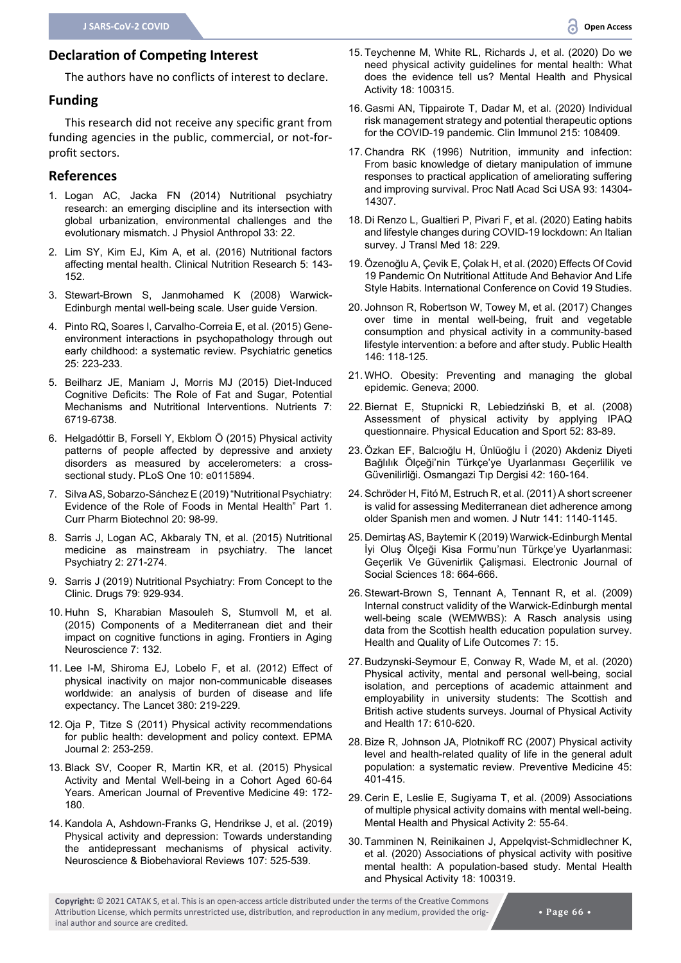### **Declaration of Competing Interest**

The authors have no conflicts of interest to declare.

#### **Funding**

This research did not receive any specific grant from funding agencies in the public, commercial, or not-forprofit sectors.

#### **References**

- <span id="page-7-3"></span>1. [Logan AC, Jacka FN \(2014\) Nutritional psychiatry](https://pubmed.ncbi.nlm.nih.gov/25060574/)  [research: an emerging discipline and its intersection with](https://pubmed.ncbi.nlm.nih.gov/25060574/)  [global urbanization, environmental challenges and the](https://pubmed.ncbi.nlm.nih.gov/25060574/)  [evolutionary mismatch. J Physiol Anthropol 33: 22.](https://pubmed.ncbi.nlm.nih.gov/25060574/)
- <span id="page-7-4"></span>2. [Lim SY, Kim EJ, Kim A, et al. \(2016\) Nutritional factors](https://pubmed.ncbi.nlm.nih.gov/27482518/)  [affecting mental health. Clinical Nutrition Research 5: 143-](https://pubmed.ncbi.nlm.nih.gov/27482518/) [152.](https://pubmed.ncbi.nlm.nih.gov/27482518/)
- <span id="page-7-0"></span>3. [Stewart-Brown S, Janmohamed K \(2008\) Warwick-](http://www.mentalhealthpromotion.net/resources/user-guide.pdf)[Edinburgh mental well-being scale. User guide Version.](http://www.mentalhealthpromotion.net/resources/user-guide.pdf)
- <span id="page-7-1"></span>4. [Pinto RQ, Soares I, Carvalho-Correia E, et al. \(2015\) Gene](https://pubmed.ncbi.nlm.nih.gov/26313931/)[environment interactions in psychopathology through out](https://pubmed.ncbi.nlm.nih.gov/26313931/)  [early childhood: a systematic review. Psychiatric genetics](https://pubmed.ncbi.nlm.nih.gov/26313931/)  [25: 223-233.](https://pubmed.ncbi.nlm.nih.gov/26313931/)
- 5. [Beilharz JE, Maniam J, Morris MJ \(2015\) Diet-Induced](https://pubmed.ncbi.nlm.nih.gov/26274972/)  [Cognitive Deficits: The Role of Fat and Sugar, Potential](https://pubmed.ncbi.nlm.nih.gov/26274972/)  [Mechanisms and Nutritional Interventions. Nutrients 7:](https://pubmed.ncbi.nlm.nih.gov/26274972/)  [6719-6738.](https://pubmed.ncbi.nlm.nih.gov/26274972/)
- <span id="page-7-2"></span>6. [Helgadóttir B, Forsell Y, Ekblom Ö \(2015\) Physical activity](https://pubmed.ncbi.nlm.nih.gov/25585123/)  [patterns of people affected by depressive and anxiety](https://pubmed.ncbi.nlm.nih.gov/25585123/)  [disorders as measured by accelerometers: a cross](https://pubmed.ncbi.nlm.nih.gov/25585123/)[sectional study. PLoS One 10: e0115894.](https://pubmed.ncbi.nlm.nih.gov/25585123/)
- <span id="page-7-7"></span>7. [Silva AS, Sobarzo-Sánchez E \(2019\) "Nutritional Psychiatry:](https://pubmed.ncbi.nlm.nih.gov/31084589/)  [Evidence of the Role of Foods in Mental Health" Part 1.](https://pubmed.ncbi.nlm.nih.gov/31084589/)  [Curr Pharm Biotechnol 20: 98-99.](https://pubmed.ncbi.nlm.nih.gov/31084589/)
- <span id="page-7-8"></span>8. [Sarris J, Logan AC, Akbaraly TN, et al. \(2015\) Nutritional](https://pubmed.ncbi.nlm.nih.gov/26359904/)  [medicine as mainstream in psychiatry. The lancet](https://pubmed.ncbi.nlm.nih.gov/26359904/)  [Psychiatry 2: 271-274.](https://pubmed.ncbi.nlm.nih.gov/26359904/)
- <span id="page-7-9"></span>9. [Sarris J \(2019\) Nutritional Psychiatry: From Concept to the](https://pubmed.ncbi.nlm.nih.gov/31114975/)  [Clinic. Drugs 79: 929-934.](https://pubmed.ncbi.nlm.nih.gov/31114975/)
- <span id="page-7-10"></span>10. [Huhn S, Kharabian Masouleh S, Stumvoll M, et al.](https://pubmed.ncbi.nlm.nih.gov/26217224/)  [\(2015\) Components of a Mediterranean diet and their](https://pubmed.ncbi.nlm.nih.gov/26217224/)  [impact on cognitive functions in aging. Frontiers in Aging](https://pubmed.ncbi.nlm.nih.gov/26217224/)  [Neuroscience 7: 132.](https://pubmed.ncbi.nlm.nih.gov/26217224/)
- <span id="page-7-11"></span>11. [Lee I-M, Shiroma EJ, Lobelo F, et al. \(2012\) Effect of](https://pubmed.ncbi.nlm.nih.gov/22818936/)  [physical inactivity on major non-communicable diseases](https://pubmed.ncbi.nlm.nih.gov/22818936/)  [worldwide: an analysis of burden of disease and life](https://pubmed.ncbi.nlm.nih.gov/22818936/)  [expectancy. The Lancet 380: 219-229.](https://pubmed.ncbi.nlm.nih.gov/22818936/)
- <span id="page-7-12"></span>12. [Oja P, Titze S \(2011\) Physical activity recommendations](https://pubmed.ncbi.nlm.nih.gov/23199160)  [for public health: development and policy context. EPMA](https://pubmed.ncbi.nlm.nih.gov/23199160)  [Journal 2: 253-259.](https://pubmed.ncbi.nlm.nih.gov/23199160)
- <span id="page-7-13"></span>13. [Black SV, Cooper R, Martin KR, et al. \(2015\) Physical](https://pubmed.ncbi.nlm.nih.gov/26070782/)  [Activity and Mental Well-being in a Cohort Aged 60-64](https://pubmed.ncbi.nlm.nih.gov/26070782/)  [Years. American Journal of Preventive Medicine 49: 172-](https://pubmed.ncbi.nlm.nih.gov/26070782/) [180.](https://pubmed.ncbi.nlm.nih.gov/26070782/)
- <span id="page-7-14"></span>14. [Kandola A, Ashdown-Franks G, Hendrikse J, et al. \(2019\)](https://pubmed.ncbi.nlm.nih.gov/31586447/)  [Physical activity and depression: Towards understanding](https://pubmed.ncbi.nlm.nih.gov/31586447/)  [the antidepressant mechanisms of physical activity.](https://pubmed.ncbi.nlm.nih.gov/31586447/)  [Neuroscience & Biobehavioral Reviews 107: 525-539.](https://pubmed.ncbi.nlm.nih.gov/31586447/)
- <span id="page-7-15"></span>15. [Teychenne M, White RL, Richards J, et al. \(2020\) Do we](https://www.sciencedirect.com/science/article/abs/pii/S1755296619301632)  [need physical activity guidelines for mental health: What](https://www.sciencedirect.com/science/article/abs/pii/S1755296619301632)  [does the evidence tell us? Mental Health and Physical](https://www.sciencedirect.com/science/article/abs/pii/S1755296619301632)  [Activity 18: 100315.](https://www.sciencedirect.com/science/article/abs/pii/S1755296619301632)
- <span id="page-7-16"></span>16. [Gasmi AN, Tippairote T, Dadar M, et al. \(2020\) Individual](https://pubmed.ncbi.nlm.nih.gov/32276137/)  [risk management strategy and potential therapeutic options](https://pubmed.ncbi.nlm.nih.gov/32276137/)  [for the COVID-19 pandemic. Clin Immunol 215: 108409.](https://pubmed.ncbi.nlm.nih.gov/32276137/)
- <span id="page-7-17"></span>17. [Chandra RK \(1996\) Nutrition, immunity and infection:](https://pubmed.ncbi.nlm.nih.gov/8962043/)  [From basic knowledge of dietary manipulation of immune](https://pubmed.ncbi.nlm.nih.gov/8962043/)  [responses to practical application of ameliorating suffering](https://pubmed.ncbi.nlm.nih.gov/8962043/)  [and improving survival. Proc Natl Acad Sci USA 93: 14304-](https://pubmed.ncbi.nlm.nih.gov/8962043/) [14307.](https://pubmed.ncbi.nlm.nih.gov/8962043/)
- <span id="page-7-18"></span>18. [Di Renzo L, Gualtieri P, Pivari F, et al. \(2020\) Eating habits](https://pubmed.ncbi.nlm.nih.gov/32513197/)  [and lifestyle changes during COVID-19 lockdown: An Italian](https://pubmed.ncbi.nlm.nih.gov/32513197/)  [survey. J Transl Med 18: 229.](https://pubmed.ncbi.nlm.nih.gov/32513197/)
- <span id="page-7-19"></span>19. [Özenoğlu A, Çevik E, Çolak H, et al. \(2020\) Effects Of Covid](https://www.researchgate.net/publication/342500776_EFFECTS_OF_COVID_19_PANDEMIC_ON_NUTRITIONAL_ATTITUDE_AND_BEHAVIOR_AND_LIFE_STYLE_HABITS)  [19 Pandemic On Nutritional Attitude And Behavior And Life](https://www.researchgate.net/publication/342500776_EFFECTS_OF_COVID_19_PANDEMIC_ON_NUTRITIONAL_ATTITUDE_AND_BEHAVIOR_AND_LIFE_STYLE_HABITS)  [Style Habits. International Conference on Covid 19 Studies.](https://www.researchgate.net/publication/342500776_EFFECTS_OF_COVID_19_PANDEMIC_ON_NUTRITIONAL_ATTITUDE_AND_BEHAVIOR_AND_LIFE_STYLE_HABITS)
- <span id="page-7-20"></span>20. [Johnson R, Robertson W, Towey M, et al. \(2017\) Changes](https://pubmed.ncbi.nlm.nih.gov/28404463/)  [over time in mental well-being, fruit and vegetable](https://pubmed.ncbi.nlm.nih.gov/28404463/)  [consumption and physical activity in a community-based](https://pubmed.ncbi.nlm.nih.gov/28404463/)  [lifestyle intervention: a before and after study. Public Health](https://pubmed.ncbi.nlm.nih.gov/28404463/)  [146: 118-125.](https://pubmed.ncbi.nlm.nih.gov/28404463/)
- <span id="page-7-5"></span>21. [WHO. Obesity: Preventing and managing the global](https://pubmed.ncbi.nlm.nih.gov/11234459/)  [epidemic. Geneva; 2000.](https://pubmed.ncbi.nlm.nih.gov/11234459/)
- <span id="page-7-6"></span>22. [Biernat E, Stupnicki R, Lebiedziński B, et al. \(2008\)](https://www.researchgate.net/publication/243756317_Assessment_of_physical_activity_by_applying_IPAQ_questionnaire)  [Assessment of physical activity by applying IPAQ](https://www.researchgate.net/publication/243756317_Assessment_of_physical_activity_by_applying_IPAQ_questionnaire)  [questionnaire. Physical Education and Sport 52: 83-89.](https://www.researchgate.net/publication/243756317_Assessment_of_physical_activity_by_applying_IPAQ_questionnaire)
- <span id="page-7-21"></span>23. [Özkan EF, Balcıoğlu H, Ünlüoğlu İ \(2020\) Akdeniz Diyeti](https://dergipark.org.tr/tr/pub/otd/issue/52874/504188)  [Bağlılık Ölçeği'nin Türkçe'ye Uyarlanması Geçerlilik ve](https://dergipark.org.tr/tr/pub/otd/issue/52874/504188)  [Güvenilirliği. Osmangazi Tıp Dergisi 42: 160-164.](https://dergipark.org.tr/tr/pub/otd/issue/52874/504188)
- <span id="page-7-22"></span>24. [Schröder H, Fitó M, Estruch R, et al. \(2011\) A short screener](https://pubmed.ncbi.nlm.nih.gov/21508208/)  [is valid for assessing Mediterranean diet adherence among](https://pubmed.ncbi.nlm.nih.gov/21508208/)  [older Spanish men and women. J Nutr 141: 1140-1145.](https://pubmed.ncbi.nlm.nih.gov/21508208/)
- <span id="page-7-23"></span>25. [Demirtaş AS, Baytemir K \(2019\) Warwick-Edinburgh Mental](https://dergipark.org.tr/tr/download/article-file/672580)  [İyi Oluş Ölçeği Kisa Formu'nun Türkçe'ye Uyarlanmasi:](https://dergipark.org.tr/tr/download/article-file/672580)  [Geçerlik Ve Güvenirlik Çalişmasi. Electronic Journal of](https://dergipark.org.tr/tr/download/article-file/672580)  [Social Sciences 18: 664-666.](https://dergipark.org.tr/tr/download/article-file/672580)
- <span id="page-7-24"></span>26. [Stewart-Brown S, Tennant A, Tennant R, et al. \(2009\)](https://www.researchgate.net/publication/24026302)  [Internal construct validity of the Warwick-Edinburgh mental](https://www.researchgate.net/publication/24026302)  [well-being scale \(WEMWBS\): A Rasch analysis using](https://www.researchgate.net/publication/24026302)  [data from the Scottish health education population survey.](https://www.researchgate.net/publication/24026302)  [Health and Quality of Life Outcomes 7: 15.](https://www.researchgate.net/publication/24026302)
- <span id="page-7-25"></span>27. [Budzynski-Seymour E, Conway R, Wade M, et al. \(2020\)](https://pubmed.ncbi.nlm.nih.gov/32369765/)  [Physical activity, mental and personal well-being, social](https://pubmed.ncbi.nlm.nih.gov/32369765/)  [isolation, and perceptions of academic attainment and](https://pubmed.ncbi.nlm.nih.gov/32369765/)  [employability in university students: The Scottish and](https://pubmed.ncbi.nlm.nih.gov/32369765/)  [British active students surveys. Journal of Physical Activity](https://pubmed.ncbi.nlm.nih.gov/32369765/)  [and Health 17: 610-620.](https://pubmed.ncbi.nlm.nih.gov/32369765/)
- <span id="page-7-26"></span>28. [Bize R, Johnson JA, Plotnikoff RC \(2007\) Physical activity](https://pubmed.ncbi.nlm.nih.gov/17707498/)  [level and health-related quality of life in the general adult](https://pubmed.ncbi.nlm.nih.gov/17707498/)  [population: a systematic review. Preventive Medicine 45:](https://pubmed.ncbi.nlm.nih.gov/17707498/)  [401-415.](https://pubmed.ncbi.nlm.nih.gov/17707498/)
- <span id="page-7-27"></span>29. [Cerin E, Leslie E, Sugiyama T, et al. \(2009\) Associations](https://www.sciencedirect.com/science/article/abs/pii/S1755296609000283)  [of multiple physical activity domains with mental well-being.](https://www.sciencedirect.com/science/article/abs/pii/S1755296609000283)  [Mental Health and Physical Activity 2: 55-64.](https://www.sciencedirect.com/science/article/abs/pii/S1755296609000283)
- <span id="page-7-28"></span>30. [Tamminen N, Reinikainen J, Appelqvist-Schmidlechner K,](https://www.sciencedirect.com/science/article/pii/S175529662030003X)  [et al. \(2020\) Associations of physical activity with positive](https://www.sciencedirect.com/science/article/pii/S175529662030003X)  [mental health: A population-based study. Mental Health](https://www.sciencedirect.com/science/article/pii/S175529662030003X)  [and Physical Activity 18: 100319.](https://www.sciencedirect.com/science/article/pii/S175529662030003X)